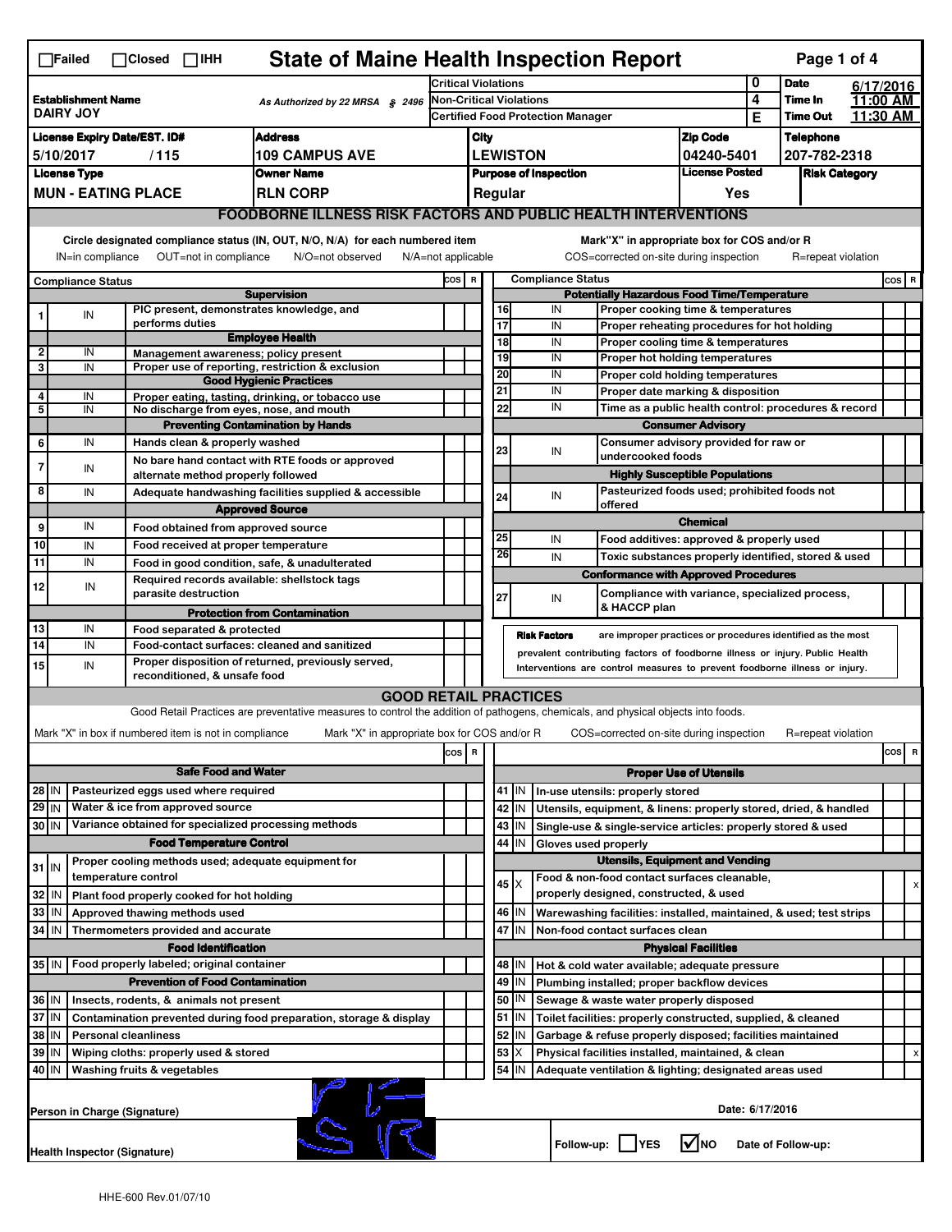| <b>State of Maine Health Inspection Report</b><br>Page 1 of 4<br>$\Box$ Failed<br>$\Box$ Closed $\Box$ IHH                |                                                                                                                                                                                                                        |  |                                                                                                                                                                  |                                                                                                                                                                   |       |                                                                     |                                                                                                                                                   |                                                                                                                                        |          |            |                                                                                       |                                   |                  |                      |  |          |
|---------------------------------------------------------------------------------------------------------------------------|------------------------------------------------------------------------------------------------------------------------------------------------------------------------------------------------------------------------|--|------------------------------------------------------------------------------------------------------------------------------------------------------------------|-------------------------------------------------------------------------------------------------------------------------------------------------------------------|-------|---------------------------------------------------------------------|---------------------------------------------------------------------------------------------------------------------------------------------------|----------------------------------------------------------------------------------------------------------------------------------------|----------|------------|---------------------------------------------------------------------------------------|-----------------------------------|------------------|----------------------|--|----------|
| <b>Establishment Name</b><br>As Authorized by 22 MRSA § 2496<br><b>DAIRY JOY</b>                                          |                                                                                                                                                                                                                        |  |                                                                                                                                                                  | <b>Critical Violations</b>                                                                                                                                        |       |                                                                     |                                                                                                                                                   |                                                                                                                                        |          |            | 0                                                                                     | <b>Date</b>                       |                  | 6/17/2016            |  |          |
|                                                                                                                           |                                                                                                                                                                                                                        |  |                                                                                                                                                                  |                                                                                                                                                                   |       | Non-Critical Violations<br><b>Certified Food Protection Manager</b> |                                                                                                                                                   |                                                                                                                                        |          |            | 4<br>Е                                                                                | <b>Time In</b><br><b>Time Out</b> |                  | 11:00 AM<br>11:30 AM |  |          |
| <b>Address</b><br><b>License Expiry Date/EST. ID#</b>                                                                     |                                                                                                                                                                                                                        |  |                                                                                                                                                                  |                                                                                                                                                                   | City  |                                                                     |                                                                                                                                                   |                                                                                                                                        |          |            | <b>Zip Code</b>                                                                       |                                   | <b>Telephone</b> |                      |  |          |
| <b>109 CAMPUS AVE</b><br>5/10/2017<br>/115                                                                                |                                                                                                                                                                                                                        |  |                                                                                                                                                                  |                                                                                                                                                                   |       | <b>LEWISTON</b><br>04240-5401                                       |                                                                                                                                                   |                                                                                                                                        |          |            | 207-782-2318                                                                          |                                   |                  |                      |  |          |
| <b>License Type</b><br><b>Owner Name</b>                                                                                  |                                                                                                                                                                                                                        |  |                                                                                                                                                                  |                                                                                                                                                                   |       | <b>License Posted</b><br><b>Purpose of Inspection</b>               |                                                                                                                                                   |                                                                                                                                        |          |            | <b>Risk Category</b>                                                                  |                                   |                  |                      |  |          |
| <b>MUN - EATING PLACE</b><br><b>RLN CORP</b>                                                                              |                                                                                                                                                                                                                        |  |                                                                                                                                                                  |                                                                                                                                                                   |       |                                                                     | Regular<br>Yes                                                                                                                                    |                                                                                                                                        |          |            |                                                                                       |                                   |                  |                      |  |          |
|                                                                                                                           | <b>FOODBORNE ILLNESS RISK FACTORS AND PUBLIC HEALTH INTERVENTIONS</b>                                                                                                                                                  |  |                                                                                                                                                                  |                                                                                                                                                                   |       |                                                                     |                                                                                                                                                   |                                                                                                                                        |          |            |                                                                                       |                                   |                  |                      |  |          |
|                                                                                                                           | Circle designated compliance status (IN, OUT, N/O, N/A) for each numbered item<br>IN=in compliance<br>OUT=not in compliance<br>N/O=not observed                                                                        |  |                                                                                                                                                                  |                                                                                                                                                                   |       |                                                                     |                                                                                                                                                   | Mark"X" in appropriate box for COS and/or R<br>COS=corrected on-site during inspection<br>$N/A = not$ applicable<br>R=repeat violation |          |            |                                                                                       |                                   |                  |                      |  |          |
|                                                                                                                           |                                                                                                                                                                                                                        |  |                                                                                                                                                                  |                                                                                                                                                                   | COS R |                                                                     | <b>Compliance Status</b>                                                                                                                          |                                                                                                                                        |          |            |                                                                                       |                                   |                  |                      |  | COS R    |
| <b>Compliance Status</b><br><b>Supervision</b>                                                                            |                                                                                                                                                                                                                        |  |                                                                                                                                                                  |                                                                                                                                                                   |       | <b>Potentially Hazardous Food Time/Temperature</b>                  |                                                                                                                                                   |                                                                                                                                        |          |            |                                                                                       |                                   |                  |                      |  |          |
|                                                                                                                           | IN                                                                                                                                                                                                                     |  | PIC present, demonstrates knowledge, and<br>performs duties                                                                                                      |                                                                                                                                                                   |       |                                                                     |                                                                                                                                                   | 16<br>17                                                                                                                               | IN<br>IN |            | Proper cooking time & temperatures<br>Proper reheating procedures for hot holding     |                                   |                  |                      |  |          |
|                                                                                                                           |                                                                                                                                                                                                                        |  |                                                                                                                                                                  | <b>Employee Health</b>                                                                                                                                            |       |                                                                     |                                                                                                                                                   | 18                                                                                                                                     | IN       |            | Proper cooling time & temperatures                                                    |                                   |                  |                      |  |          |
| $\mathbf 2$<br>3                                                                                                          | IN<br>IN                                                                                                                                                                                                               |  | Management awareness; policy present                                                                                                                             | Proper use of reporting, restriction & exclusion                                                                                                                  |       |                                                                     |                                                                                                                                                   | 19                                                                                                                                     | IN       |            | Proper hot holding temperatures                                                       |                                   |                  |                      |  |          |
|                                                                                                                           |                                                                                                                                                                                                                        |  |                                                                                                                                                                  | <b>Good Hygienic Practices</b>                                                                                                                                    |       |                                                                     |                                                                                                                                                   | 20                                                                                                                                     | IN       |            | Proper cold holding temperatures                                                      |                                   |                  |                      |  |          |
| 4                                                                                                                         | IN                                                                                                                                                                                                                     |  |                                                                                                                                                                  | Proper eating, tasting, drinking, or tobacco use                                                                                                                  |       |                                                                     |                                                                                                                                                   | 21<br>22                                                                                                                               | IN<br>IN |            | Proper date marking & disposition                                                     |                                   |                  |                      |  |          |
| 5                                                                                                                         | IN                                                                                                                                                                                                                     |  | No discharge from eyes, nose, and mouth                                                                                                                          | <b>Preventing Contamination by Hands</b>                                                                                                                          |       |                                                                     |                                                                                                                                                   |                                                                                                                                        |          |            | Time as a public health control: procedures & record<br><b>Consumer Advisory</b>      |                                   |                  |                      |  |          |
| 6                                                                                                                         | IN                                                                                                                                                                                                                     |  | Hands clean & properly washed                                                                                                                                    |                                                                                                                                                                   |       |                                                                     |                                                                                                                                                   |                                                                                                                                        |          |            | Consumer advisory provided for raw or                                                 |                                   |                  |                      |  |          |
| 7                                                                                                                         |                                                                                                                                                                                                                        |  |                                                                                                                                                                  | No bare hand contact with RTE foods or approved                                                                                                                   |       |                                                                     |                                                                                                                                                   | 23                                                                                                                                     | IN       |            | undercooked foods                                                                     |                                   |                  |                      |  |          |
|                                                                                                                           | IN                                                                                                                                                                                                                     |  | alternate method properly followed                                                                                                                               |                                                                                                                                                                   |       |                                                                     |                                                                                                                                                   |                                                                                                                                        |          |            | <b>Highly Susceptible Populations</b>                                                 |                                   |                  |                      |  |          |
| 8                                                                                                                         | IN                                                                                                                                                                                                                     |  |                                                                                                                                                                  | Adequate handwashing facilities supplied & accessible                                                                                                             |       |                                                                     |                                                                                                                                                   | 24                                                                                                                                     | IN       |            | Pasteurized foods used; prohibited foods not<br>offered                               |                                   |                  |                      |  |          |
| 9                                                                                                                         | IN                                                                                                                                                                                                                     |  | Food obtained from approved source                                                                                                                               | <b>Approved Source</b>                                                                                                                                            |       |                                                                     |                                                                                                                                                   |                                                                                                                                        |          |            |                                                                                       | <b>Chemical</b>                   |                  |                      |  |          |
| 10                                                                                                                        | IN                                                                                                                                                                                                                     |  | Food received at proper temperature                                                                                                                              |                                                                                                                                                                   |       |                                                                     |                                                                                                                                                   | 25                                                                                                                                     | IN       |            | Food additives: approved & properly used                                              |                                   |                  |                      |  |          |
| $\overline{11}$                                                                                                           | IN                                                                                                                                                                                                                     |  | Food in good condition, safe, & unadulterated                                                                                                                    |                                                                                                                                                                   |       |                                                                     |                                                                                                                                                   | 26                                                                                                                                     | IN       |            | Toxic substances properly identified, stored & used                                   |                                   |                  |                      |  |          |
| 12                                                                                                                        | IN                                                                                                                                                                                                                     |  | Required records available: shellstock tags                                                                                                                      |                                                                                                                                                                   |       |                                                                     |                                                                                                                                                   |                                                                                                                                        |          |            | <b>Conformance with Approved Procedures</b>                                           |                                   |                  |                      |  |          |
|                                                                                                                           |                                                                                                                                                                                                                        |  | parasite destruction                                                                                                                                             |                                                                                                                                                                   |       |                                                                     | 27                                                                                                                                                |                                                                                                                                        | IN       |            | Compliance with variance, specialized process,<br>& HACCP plan                        |                                   |                  |                      |  |          |
| 13                                                                                                                        | IN                                                                                                                                                                                                                     |  |                                                                                                                                                                  | <b>Protection from Contamination</b>                                                                                                                              |       |                                                                     |                                                                                                                                                   |                                                                                                                                        |          |            |                                                                                       |                                   |                  |                      |  |          |
| 14                                                                                                                        | IN                                                                                                                                                                                                                     |  | Food separated & protected<br><b>Risk Factors</b><br>are improper practices or procedures identified as the most<br>Food-contact surfaces: cleaned and sanitized |                                                                                                                                                                   |       |                                                                     |                                                                                                                                                   |                                                                                                                                        |          |            |                                                                                       |                                   |                  |                      |  |          |
| 15                                                                                                                        | prevalent contributing factors of foodborne illness or injury. Public Health<br>Proper disposition of returned, previously served,<br>IN<br>Interventions are control measures to prevent foodborne illness or injury. |  |                                                                                                                                                                  |                                                                                                                                                                   |       |                                                                     |                                                                                                                                                   |                                                                                                                                        |          |            |                                                                                       |                                   |                  |                      |  |          |
|                                                                                                                           |                                                                                                                                                                                                                        |  | reconditioned, & unsafe food                                                                                                                                     |                                                                                                                                                                   |       |                                                                     |                                                                                                                                                   |                                                                                                                                        |          |            |                                                                                       |                                   |                  |                      |  |          |
|                                                                                                                           |                                                                                                                                                                                                                        |  |                                                                                                                                                                  | <b>GOOD RETAIL PRACTICES</b><br>Good Retail Practices are preventative measures to control the addition of pathogens, chemicals, and physical objects into foods. |       |                                                                     |                                                                                                                                                   |                                                                                                                                        |          |            |                                                                                       |                                   |                  |                      |  |          |
|                                                                                                                           |                                                                                                                                                                                                                        |  | Mark "X" in box if numbered item is not in compliance                                                                                                            | Mark "X" in appropriate box for COS and/or R                                                                                                                      |       |                                                                     |                                                                                                                                                   |                                                                                                                                        |          |            | COS=corrected on-site during inspection                                               |                                   |                  | R=repeat violation   |  |          |
|                                                                                                                           |                                                                                                                                                                                                                        |  |                                                                                                                                                                  |                                                                                                                                                                   | cos   | R                                                                   |                                                                                                                                                   |                                                                                                                                        |          |            |                                                                                       |                                   |                  |                      |  | cos<br>R |
|                                                                                                                           | <b>Safe Food and Water</b>                                                                                                                                                                                             |  |                                                                                                                                                                  |                                                                                                                                                                   |       |                                                                     | <b>Proper Use of Utensils</b>                                                                                                                     |                                                                                                                                        |          |            |                                                                                       |                                   |                  |                      |  |          |
| Pasteurized eggs used where required<br>28 IN                                                                             |                                                                                                                                                                                                                        |  |                                                                                                                                                                  |                                                                                                                                                                   |       |                                                                     |                                                                                                                                                   | 41 J IN                                                                                                                                |          |            | In-use utensils: properly stored                                                      |                                   |                  |                      |  |          |
| $29$ IN                                                                                                                   |                                                                                                                                                                                                                        |  | Water & ice from approved source                                                                                                                                 |                                                                                                                                                                   |       |                                                                     |                                                                                                                                                   | 42<br>IN                                                                                                                               |          |            | Utensils, equipment, & linens: properly stored, dried, & handled                      |                                   |                  |                      |  |          |
| 30 IN                                                                                                                     |                                                                                                                                                                                                                        |  | Variance obtained for specialized processing methods                                                                                                             |                                                                                                                                                                   |       |                                                                     |                                                                                                                                                   | 43<br>IN                                                                                                                               |          |            | Single-use & single-service articles: properly stored & used                          |                                   |                  |                      |  |          |
| <b>Food Temperature Control</b>                                                                                           |                                                                                                                                                                                                                        |  |                                                                                                                                                                  |                                                                                                                                                                   |       |                                                                     | 44<br>IN<br>Gloves used properly                                                                                                                  |                                                                                                                                        |          |            |                                                                                       |                                   |                  |                      |  |          |
| $31$ IN                                                                                                                   |                                                                                                                                                                                                                        |  | Proper cooling methods used; adequate equipment for<br>temperature control                                                                                       |                                                                                                                                                                   |       |                                                                     |                                                                                                                                                   |                                                                                                                                        |          |            | <b>Utensils, Equipment and Vending</b>                                                |                                   |                  |                      |  |          |
| 32                                                                                                                        | IN                                                                                                                                                                                                                     |  | Plant food properly cooked for hot holding                                                                                                                       |                                                                                                                                                                   |       |                                                                     |                                                                                                                                                   | 45 X                                                                                                                                   |          |            | Food & non-food contact surfaces cleanable.<br>properly designed, constructed, & used |                                   |                  |                      |  | х        |
| 33                                                                                                                        | IN                                                                                                                                                                                                                     |  | Approved thawing methods used                                                                                                                                    |                                                                                                                                                                   |       |                                                                     |                                                                                                                                                   | 46 IN                                                                                                                                  |          |            | Warewashing facilities: installed, maintained, & used; test strips                    |                                   |                  |                      |  |          |
| 34 IN<br>Thermometers provided and accurate                                                                               |                                                                                                                                                                                                                        |  |                                                                                                                                                                  |                                                                                                                                                                   |       |                                                                     | 47 IN<br>Non-food contact surfaces clean                                                                                                          |                                                                                                                                        |          |            |                                                                                       |                                   |                  |                      |  |          |
|                                                                                                                           |                                                                                                                                                                                                                        |  | <b>Food Identification</b>                                                                                                                                       |                                                                                                                                                                   |       |                                                                     |                                                                                                                                                   |                                                                                                                                        |          |            |                                                                                       | <b>Physical Facilities</b>        |                  |                      |  |          |
| 35 IN   Food properly labeled; original container<br>48   IN<br>Hot & cold water available; adequate pressure             |                                                                                                                                                                                                                        |  |                                                                                                                                                                  |                                                                                                                                                                   |       |                                                                     |                                                                                                                                                   |                                                                                                                                        |          |            |                                                                                       |                                   |                  |                      |  |          |
| <b>Prevention of Food Contamination</b>                                                                                   |                                                                                                                                                                                                                        |  |                                                                                                                                                                  |                                                                                                                                                                   |       | 49<br>IN<br>Plumbing installed; proper backflow devices             |                                                                                                                                                   |                                                                                                                                        |          |            |                                                                                       |                                   |                  |                      |  |          |
| 36 IN<br>Insects, rodents, & animals not present                                                                          |                                                                                                                                                                                                                        |  |                                                                                                                                                                  |                                                                                                                                                                   |       |                                                                     | 50   IN<br>Sewage & waste water properly disposed                                                                                                 |                                                                                                                                        |          |            |                                                                                       |                                   |                  |                      |  |          |
| 37<br>IN<br>Contamination prevented during food preparation, storage & display<br>38<br>IN<br><b>Personal cleanliness</b> |                                                                                                                                                                                                                        |  |                                                                                                                                                                  |                                                                                                                                                                   |       |                                                                     | 51<br>Toilet facilities: properly constructed, supplied, & cleaned<br>IN<br>52<br>IN<br>Garbage & refuse properly disposed; facilities maintained |                                                                                                                                        |          |            |                                                                                       |                                   |                  |                      |  |          |
| 39<br>IN<br>Wiping cloths: properly used & stored                                                                         |                                                                                                                                                                                                                        |  |                                                                                                                                                                  |                                                                                                                                                                   |       |                                                                     | 53<br>X<br>Physical facilities installed, maintained, & clean                                                                                     |                                                                                                                                        |          |            |                                                                                       |                                   | х                |                      |  |          |
|                                                                                                                           | 54<br>40 IN<br>IN<br>Washing fruits & vegetables<br>Adequate ventilation & lighting; designated areas used                                                                                                             |  |                                                                                                                                                                  |                                                                                                                                                                   |       |                                                                     |                                                                                                                                                   |                                                                                                                                        |          |            |                                                                                       |                                   |                  |                      |  |          |
|                                                                                                                           | Date: 6/17/2016<br>Person in Charge (Signature)                                                                                                                                                                        |  |                                                                                                                                                                  |                                                                                                                                                                   |       |                                                                     |                                                                                                                                                   |                                                                                                                                        |          |            |                                                                                       |                                   |                  |                      |  |          |
|                                                                                                                           | <b>Health Inspector (Signature)</b>                                                                                                                                                                                    |  |                                                                                                                                                                  |                                                                                                                                                                   |       |                                                                     |                                                                                                                                                   |                                                                                                                                        |          | Follow-up: | <b>IYES</b>                                                                           | l✔Ino                             |                  | Date of Follow-up:   |  |          |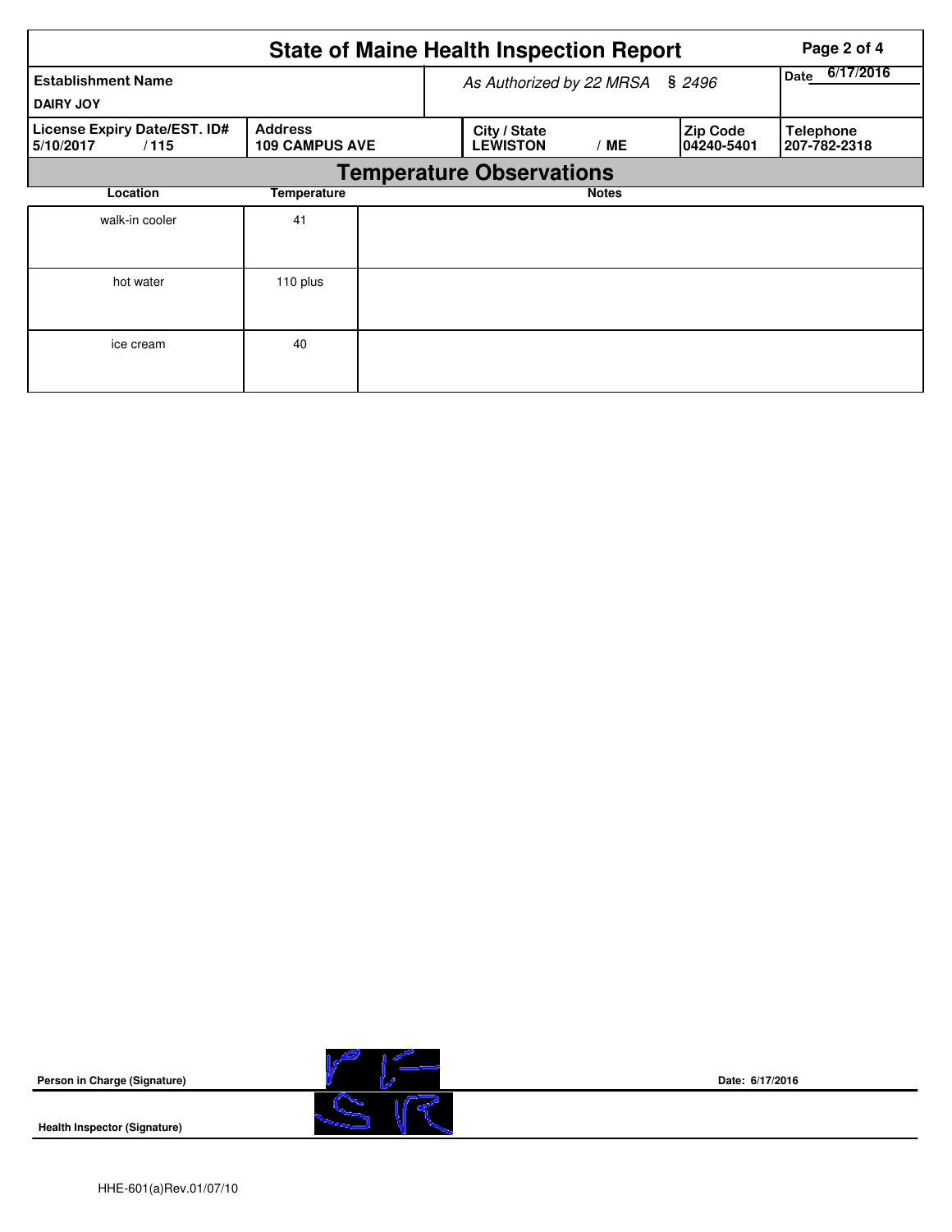|                                                   |                                         | <b>State of Maine Health Inspection Report</b> | Page 2 of 4       |                        |                                  |
|---------------------------------------------------|-----------------------------------------|------------------------------------------------|-------------------|------------------------|----------------------------------|
| <b>Establishment Name</b><br><b>DAIRY JOY</b>     |                                         | As Authorized by 22 MRSA                       | 6/17/2016<br>Date |                        |                                  |
| License Expiry Date/EST. ID#<br>5/10/2017<br>/115 | <b>Address</b><br><b>109 CAMPUS AVE</b> | City / State<br><b>LEWISTON</b>                | /ME               | Zip Code<br>04240-5401 | <b>Telephone</b><br>207-782-2318 |
|                                                   |                                         | <b>Temperature Observations</b>                |                   |                        |                                  |
| Location                                          | Temperature                             |                                                | <b>Notes</b>      |                        |                                  |
| walk-in cooler                                    | 41                                      |                                                |                   |                        |                                  |
| hot water                                         | 110 plus                                |                                                |                   |                        |                                  |
| ice cream                                         | 40                                      |                                                |                   |                        |                                  |



**Date: 6/17/2016**

HHE-601(a)Rev.01/07/10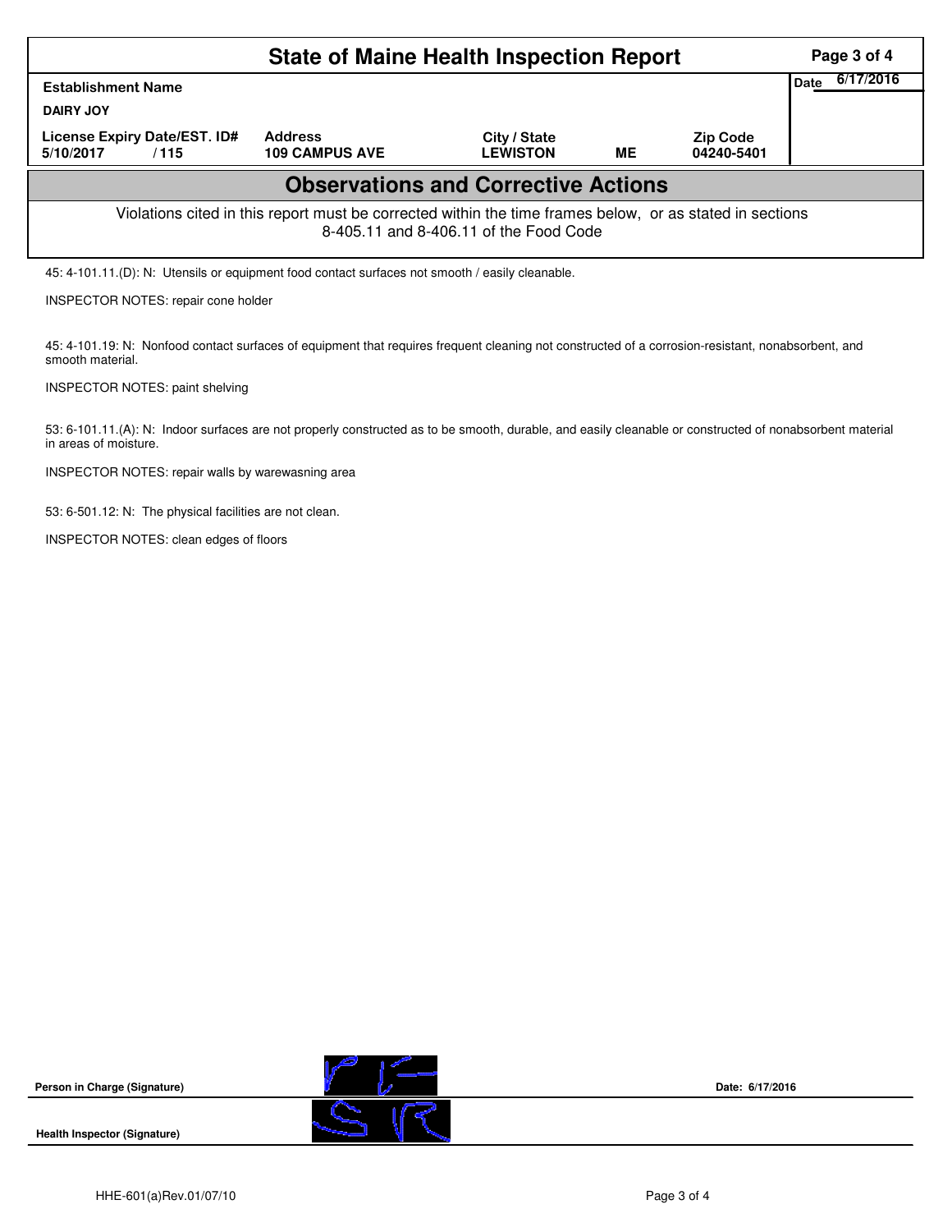|                                                                                                                                                    | Page 3 of 4                             |                                 |           |                               |  |  |  |  |  |  |
|----------------------------------------------------------------------------------------------------------------------------------------------------|-----------------------------------------|---------------------------------|-----------|-------------------------------|--|--|--|--|--|--|
| <b>Establishment Name</b><br><b>DAIRY JOY</b>                                                                                                      | 6/17/2016<br><b>Date</b>                |                                 |           |                               |  |  |  |  |  |  |
| License Expiry Date/EST. ID#<br>5/10/2017<br>/115                                                                                                  | <b>Address</b><br><b>109 CAMPUS AVE</b> | City / State<br><b>LEWISTON</b> | <b>ME</b> | <b>Zip Code</b><br>04240-5401 |  |  |  |  |  |  |
| <b>Observations and Corrective Actions</b>                                                                                                         |                                         |                                 |           |                               |  |  |  |  |  |  |
| Violations cited in this report must be corrected within the time frames below, or as stated in sections<br>8-405.11 and 8-406.11 of the Food Code |                                         |                                 |           |                               |  |  |  |  |  |  |
| 45: 4-101.11.(D): N: Utensils or equipment food contact surfaces not smooth / easily cleanable.                                                    |                                         |                                 |           |                               |  |  |  |  |  |  |

INSPECTOR NOTES: repair cone holder

45: 4-101.19: N: Nonfood contact surfaces of equipment that requires frequent cleaning not constructed of a corrosion-resistant, nonabsorbent, and smooth material.

INSPECTOR NOTES: paint shelving

53: 6-101.11.(A): N: Indoor surfaces are not properly constructed as to be smooth, durable, and easily cleanable or constructed of nonabsorbent material in areas of moisture.

INSPECTOR NOTES: repair walls by warewasning area

53: 6-501.12: N: The physical facilities are not clean.

INSPECTOR NOTES: clean edges of floors





**Date: 6/17/2016**

**Health Inspector (Signature)**